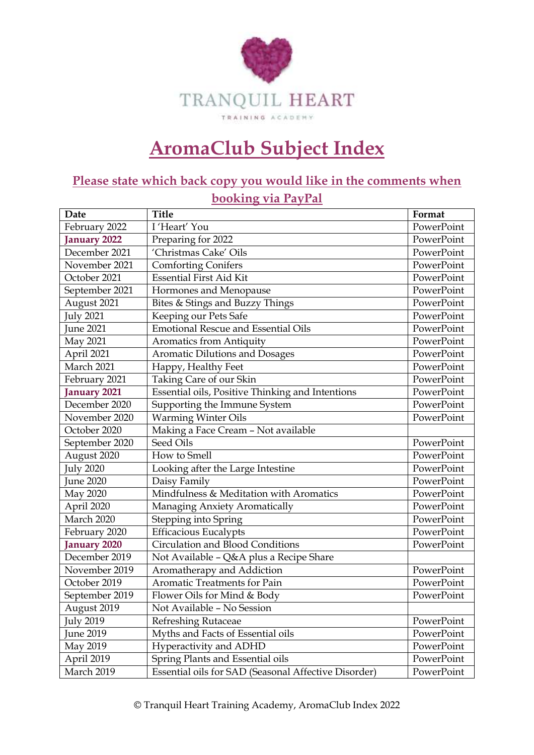

## **AromaClub Subject Index**

## **Please state which back copy you would like in the comments when booking via PayPal**

| Date                | <b>Title</b>                                         | Format     |
|---------------------|------------------------------------------------------|------------|
| February 2022       | I'Heart' You                                         | PowerPoint |
| January 2022        | Preparing for 2022                                   | PowerPoint |
| December 2021       | 'Christmas Cake' Oils                                | PowerPoint |
| November 2021       | <b>Comforting Conifers</b>                           | PowerPoint |
| October 2021        | <b>Essential First Aid Kit</b>                       | PowerPoint |
| September 2021      | Hormones and Menopause                               | PowerPoint |
| August 2021         | Bites & Stings and Buzzy Things                      | PowerPoint |
| <b>July 2021</b>    | Keeping our Pets Safe                                | PowerPoint |
| <b>June 2021</b>    | <b>Emotional Rescue and Essential Oils</b>           | PowerPoint |
| May 2021            | <b>Aromatics from Antiquity</b>                      | PowerPoint |
| April 2021          | Aromatic Dilutions and Dosages                       | PowerPoint |
| March 2021          | Happy, Healthy Feet                                  | PowerPoint |
| February 2021       | Taking Care of our Skin                              | PowerPoint |
| <b>January 2021</b> | Essential oils, Positive Thinking and Intentions     | PowerPoint |
| December 2020       | Supporting the Immune System                         | PowerPoint |
| November 2020       | <b>Warming Winter Oils</b>                           | PowerPoint |
| October 2020        | Making a Face Cream - Not available                  |            |
| September 2020      | Seed Oils                                            | PowerPoint |
| August 2020         | How to Smell                                         | PowerPoint |
| <b>July 2020</b>    | Looking after the Large Intestine                    | PowerPoint |
| June 2020           | Daisy Family                                         | PowerPoint |
| May 2020            | Mindfulness & Meditation with Aromatics              | PowerPoint |
| April 2020          | Managing Anxiety Aromatically                        | PowerPoint |
| March 2020          | Stepping into Spring                                 | PowerPoint |
| February 2020       | <b>Efficacious Eucalypts</b>                         | PowerPoint |
| <b>January 2020</b> | Circulation and Blood Conditions                     | PowerPoint |
| December 2019       | Not Available - Q&A plus a Recipe Share              |            |
| November 2019       | Aromatherapy and Addiction                           | PowerPoint |
| October 2019        | Aromatic Treatments for Pain                         | PowerPoint |
| September 2019      | Flower Oils for Mind & Body                          | PowerPoint |
| August 2019         | Not Available - No Session                           |            |
| <b>July 2019</b>    | Refreshing Rutaceae                                  | PowerPoint |
| June 2019           | Myths and Facts of Essential oils                    | PowerPoint |
| May 2019            | Hyperactivity and ADHD                               | PowerPoint |
| April 2019          | Spring Plants and Essential oils                     | PowerPoint |
| March 2019          | Essential oils for SAD (Seasonal Affective Disorder) | PowerPoint |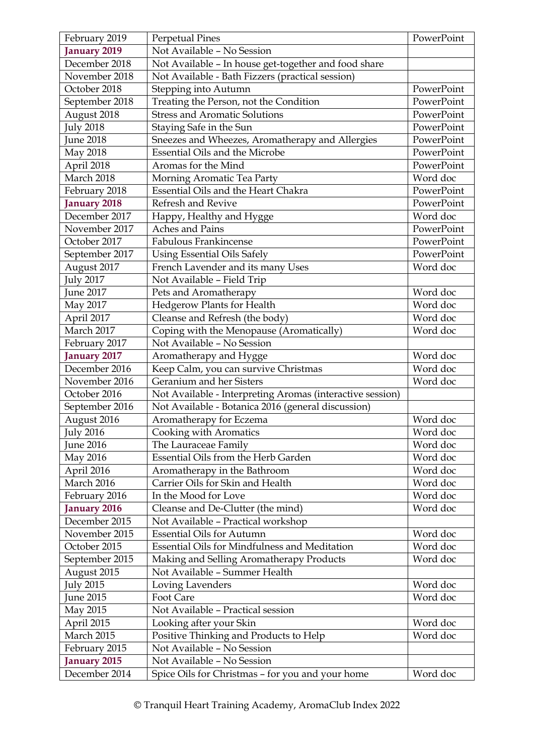| February 2019                  | <b>Perpetual Pines</b>                                                                                          | PowerPoint |
|--------------------------------|-----------------------------------------------------------------------------------------------------------------|------------|
| January 2019                   | Not Available - No Session                                                                                      |            |
| December 2018                  | Not Available - In house get-together and food share                                                            |            |
| November 2018                  | Not Available - Bath Fizzers (practical session)                                                                |            |
| October 2018                   | Stepping into Autumn                                                                                            | PowerPoint |
| September 2018                 | Treating the Person, not the Condition                                                                          | PowerPoint |
| August 2018                    | <b>Stress and Aromatic Solutions</b>                                                                            | PowerPoint |
| <b>July 2018</b>               | Staying Safe in the Sun                                                                                         | PowerPoint |
| une 2018                       | Sneezes and Wheezes, Aromatherapy and Allergies                                                                 | PowerPoint |
| May 2018                       | <b>Essential Oils and the Microbe</b>                                                                           | PowerPoint |
| April 2018                     | Aromas for the Mind                                                                                             | PowerPoint |
| March 2018                     | Morning Aromatic Tea Party                                                                                      | Word doc   |
| February 2018                  | Essential Oils and the Heart Chakra                                                                             | PowerPoint |
| <b>January 2018</b>            | Refresh and Revive                                                                                              | PowerPoint |
| December 2017                  | Happy, Healthy and Hygge                                                                                        | Word doc   |
| November 2017                  | Aches and Pains                                                                                                 | PowerPoint |
| October 2017                   | Fabulous Frankincense                                                                                           | PowerPoint |
| September 2017                 | <b>Using Essential Oils Safely</b>                                                                              | PowerPoint |
| August 2017                    | French Lavender and its many Uses                                                                               | Word doc   |
| July 2017                      | Not Available - Field Trip                                                                                      |            |
| <b>June 2017</b>               | Pets and Aromatherapy                                                                                           | Word doc   |
| May 2017                       | Hedgerow Plants for Health                                                                                      | Word doc   |
| April 2017                     | Cleanse and Refresh (the body)                                                                                  | Word doc   |
| March 2017                     | Coping with the Menopause (Aromatically)                                                                        | Word doc   |
| February 2017                  | Not Available - No Session                                                                                      |            |
| <b>January 2017</b>            |                                                                                                                 | Word doc   |
| December 2016                  | Aromatherapy and Hygge                                                                                          | Word doc   |
| November 2016                  | Keep Calm, you can survive Christmas<br>Geranium and her Sisters                                                | Word doc   |
| October 2016                   |                                                                                                                 |            |
| September 2016                 | Not Available - Interpreting Aromas (interactive session)<br>Not Available - Botanica 2016 (general discussion) |            |
| August 2016                    | Aromatherapy for Eczema                                                                                         | Word doc   |
|                                |                                                                                                                 | Word doc   |
| <b>July 2016</b><br>June 2016  | Cooking with Aromatics<br>The Lauraceae Family                                                                  | Word doc   |
|                                | Essential Oils from the Herb Garden                                                                             | Word doc   |
| May 2016<br>April 2016         |                                                                                                                 | Word doc   |
| March 2016                     | Aromatherapy in the Bathroom<br>Carrier Oils for Skin and Health                                                | Word doc   |
|                                | In the Mood for Love                                                                                            | Word doc   |
| February 2016                  |                                                                                                                 | Word doc   |
| <b>January 2016</b>            | Cleanse and De-Clutter (the mind)                                                                               |            |
| December 2015<br>November 2015 | Not Available - Practical workshop<br><b>Essential Oils for Autumn</b>                                          | Word doc   |
| October 2015                   | Essential Oils for Mindfulness and Meditation                                                                   | Word doc   |
|                                |                                                                                                                 | Word doc   |
| September 2015                 | Making and Selling Aromatherapy Products                                                                        |            |
| August 2015                    | Not Available - Summer Health                                                                                   | Word doc   |
| <b>July 2015</b>               | Loving Lavenders                                                                                                |            |
| June 2015                      | Foot Care                                                                                                       | Word doc   |
| May 2015                       | Not Available - Practical session                                                                               |            |
| April 2015                     | Looking after your Skin                                                                                         | Word doc   |
| March 2015                     | Positive Thinking and Products to Help                                                                          | Word doc   |
| February 2015                  | Not Available - No Session                                                                                      |            |
| anuary 2015                    | Not Available - No Session                                                                                      |            |
| December 2014                  | Spice Oils for Christmas - for you and your home                                                                | Word doc   |